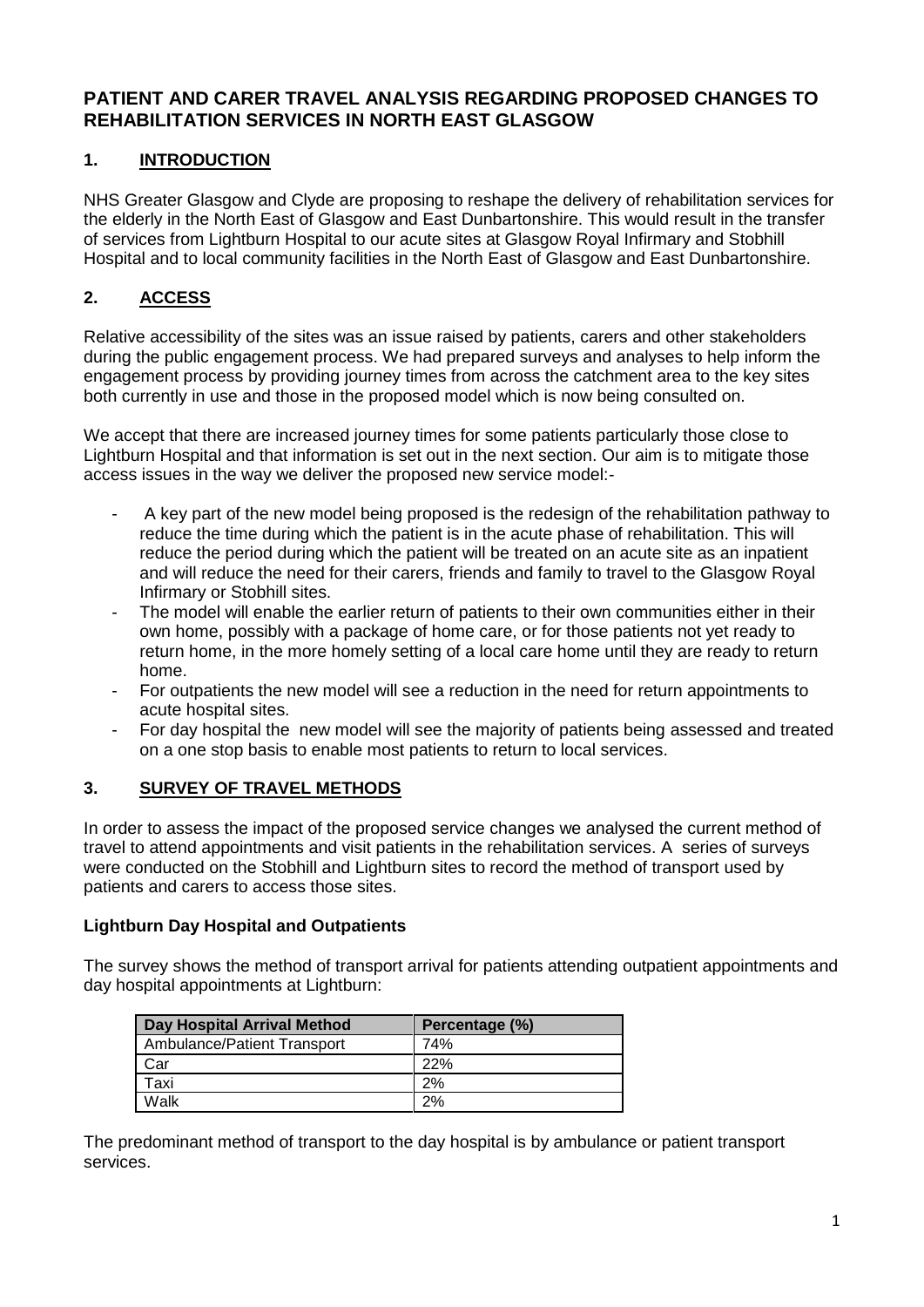## **PATIENT AND CARER TRAVEL ANALYSIS REGARDING PROPOSED CHANGES TO REHABILITATION SERVICES IN NORTH EAST GLASGOW**

# **1. INTRODUCTION**

NHS Greater Glasgow and Clyde are proposing to reshape the delivery of rehabilitation services for the elderly in the North East of Glasgow and East Dunbartonshire. This would result in the transfer of services from Lightburn Hospital to our acute sites at Glasgow Royal Infirmary and Stobhill Hospital and to local community facilities in the North East of Glasgow and East Dunbartonshire.

# **2. ACCESS**

Relative accessibility of the sites was an issue raised by patients, carers and other stakeholders during the public engagement process. We had prepared surveys and analyses to help inform the engagement process by providing journey times from across the catchment area to the key sites both currently in use and those in the proposed model which is now being consulted on.

We accept that there are increased journey times for some patients particularly those close to Lightburn Hospital and that information is set out in the next section. Our aim is to mitigate those access issues in the way we deliver the proposed new service model:-

- A key part of the new model being proposed is the redesign of the rehabilitation pathway to reduce the time during which the patient is in the acute phase of rehabilitation. This will reduce the period during which the patient will be treated on an acute site as an inpatient and will reduce the need for their carers, friends and family to travel to the Glasgow Royal Infirmary or Stobhill sites.
- The model will enable the earlier return of patients to their own communities either in their own home, possibly with a package of home care, or for those patients not yet ready to return home, in the more homely setting of a local care home until they are ready to return home.
- For outpatients the new model will see a reduction in the need for return appointments to acute hospital sites.
- For day hospital the new model will see the majority of patients being assessed and treated on a one stop basis to enable most patients to return to local services.

# **3. SURVEY OF TRAVEL METHODS**

In order to assess the impact of the proposed service changes we analysed the current method of travel to attend appointments and visit patients in the rehabilitation services. A series of surveys were conducted on the Stobhill and Lightburn sites to record the method of transport used by patients and carers to access those sites.

## **Lightburn Day Hospital and Outpatients**

The survey shows the method of transport arrival for patients attending outpatient appointments and day hospital appointments at Lightburn:

| Day Hospital Arrival Method | Percentage (%) |
|-----------------------------|----------------|
| Ambulance/Patient Transport | 74%            |
| Car                         | 22%            |
| Taxi                        | 2%             |
| Walk                        | 2%             |

The predominant method of transport to the day hospital is by ambulance or patient transport services.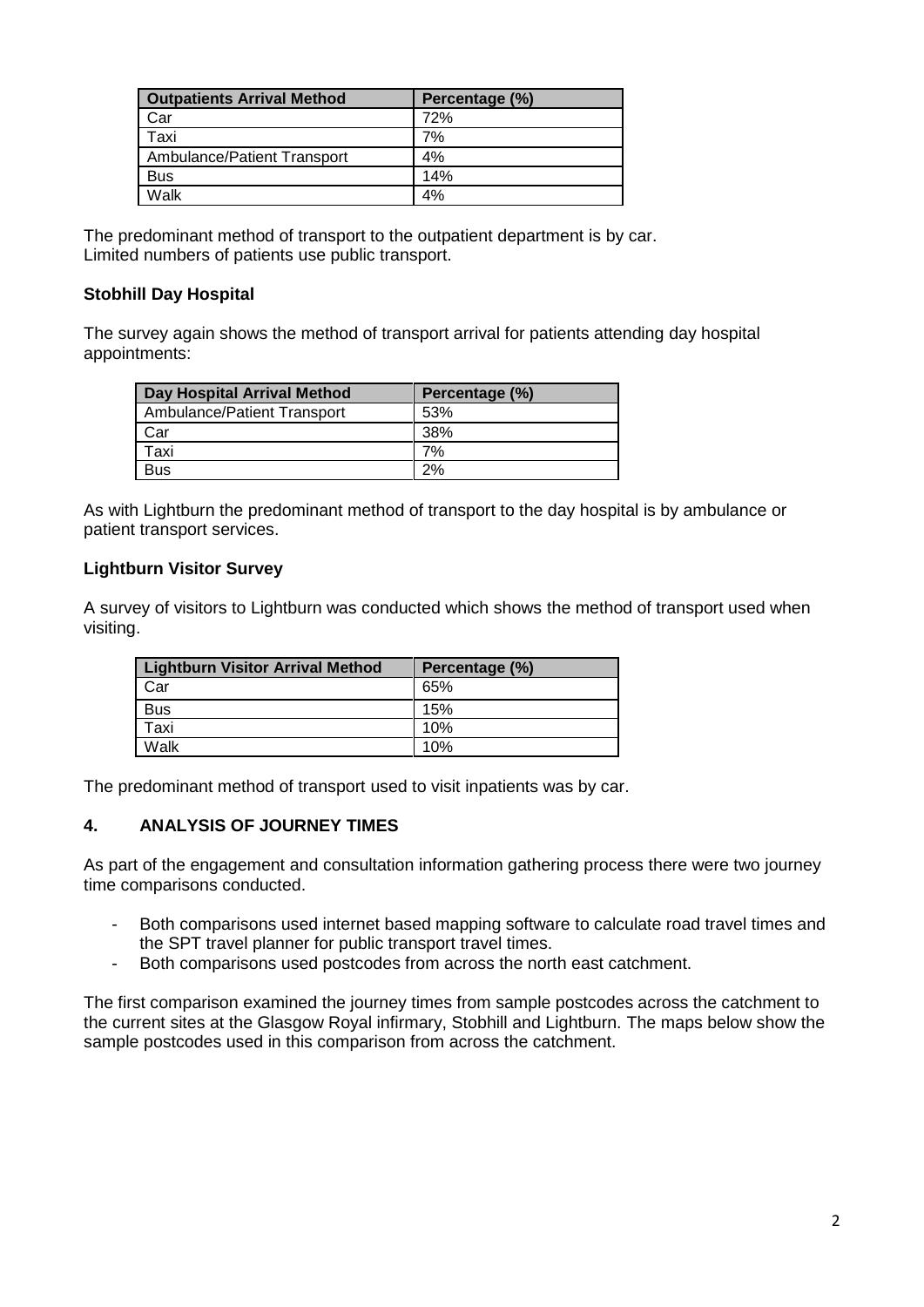| <b>Outpatients Arrival Method</b>  | Percentage (%) |
|------------------------------------|----------------|
| Car                                | 72%            |
| Taxi                               | 7%             |
| <b>Ambulance/Patient Transport</b> | 4%             |
| <b>Bus</b>                         | 14%            |
| Walk                               | 4%             |

The predominant method of transport to the outpatient department is by car. Limited numbers of patients use public transport.

### **Stobhill Day Hospital**

The survey again shows the method of transport arrival for patients attending day hospital appointments:

| Day Hospital Arrival Method | Percentage (%) |
|-----------------------------|----------------|
| Ambulance/Patient Transport | 53%            |
| Car                         | 38%            |
| Taxi                        | 7%             |
| <b>Bus</b>                  | 2%             |

As with Lightburn the predominant method of transport to the day hospital is by ambulance or patient transport services.

### **Lightburn Visitor Survey**

A survey of visitors to Lightburn was conducted which shows the method of transport used when visiting.

| <b>Lightburn Visitor Arrival Method</b> | Percentage (%) |
|-----------------------------------------|----------------|
| Car                                     | 65%            |
| <b>Bus</b>                              | 15%            |
| Taxi                                    | 10%            |
| Walk                                    | 10%            |

The predominant method of transport used to visit inpatients was by car.

## **4. ANALYSIS OF JOURNEY TIMES**

As part of the engagement and consultation information gathering process there were two journey time comparisons conducted.

- Both comparisons used internet based mapping software to calculate road travel times and the SPT travel planner for public transport travel times.
- Both comparisons used postcodes from across the north east catchment.

The first comparison examined the journey times from sample postcodes across the catchment to the current sites at the Glasgow Royal infirmary, Stobhill and Lightburn. The maps below show the sample postcodes used in this comparison from across the catchment.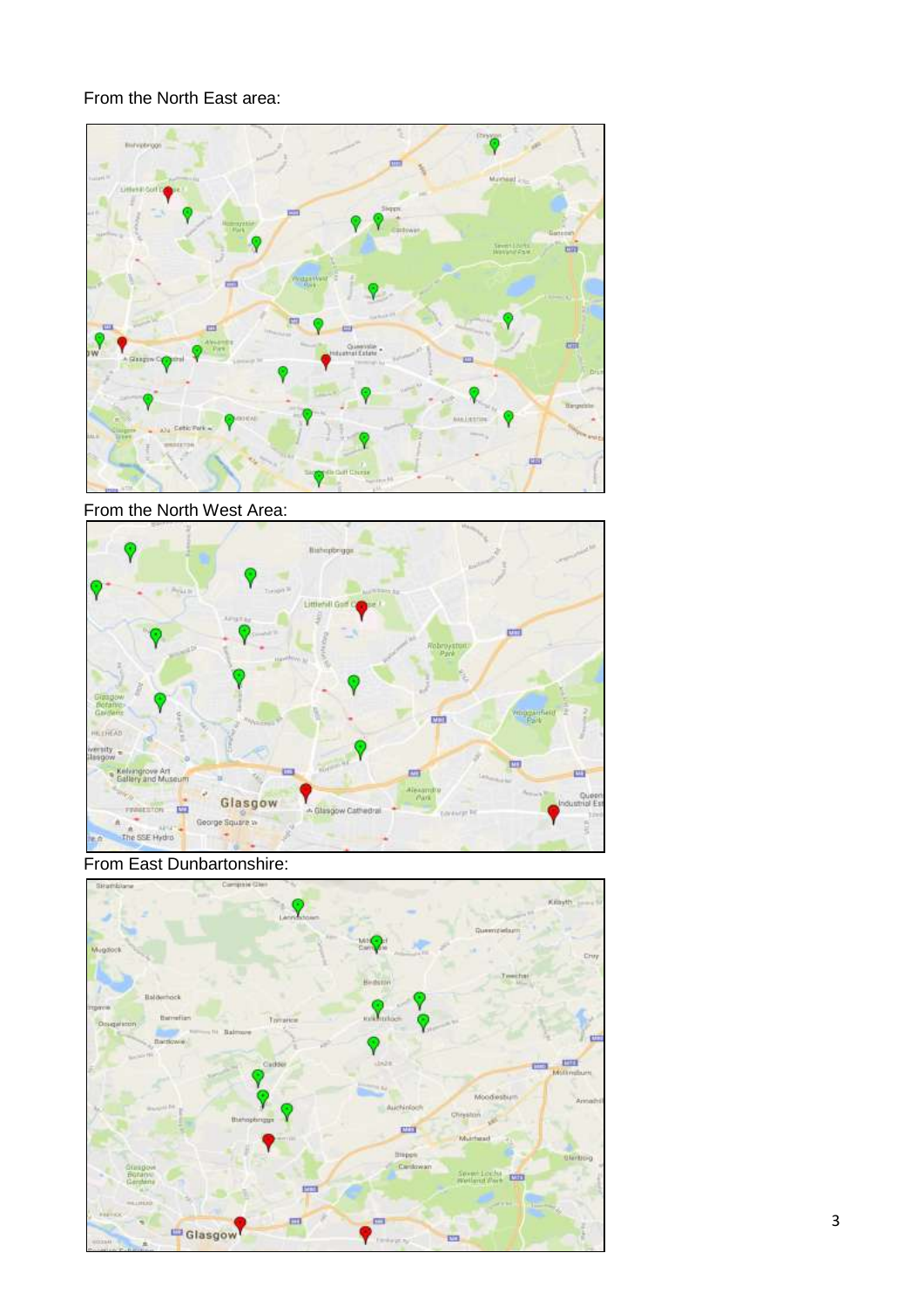# From the North East area:



From the North West Area:



From East Dunbartonshire:

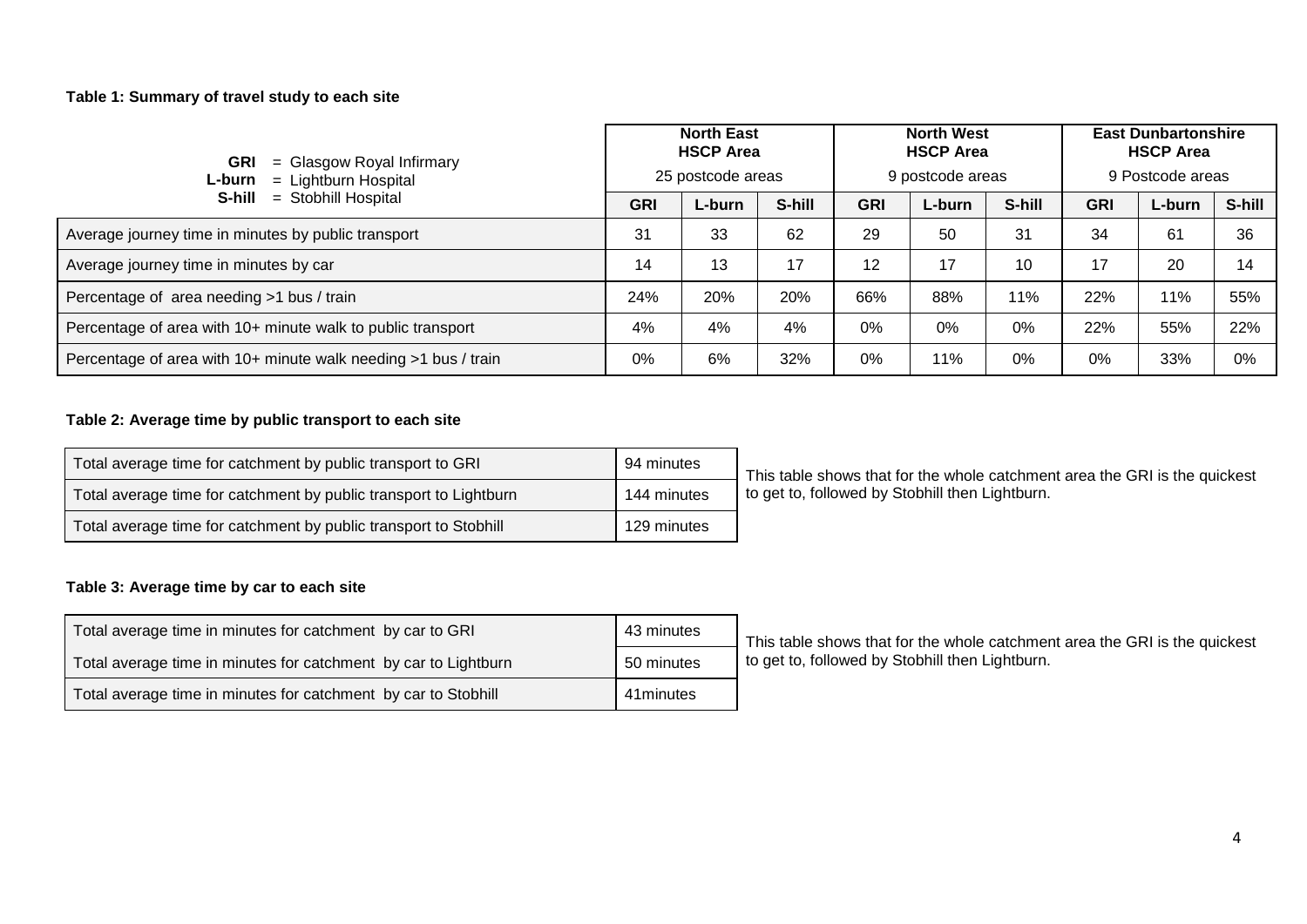#### **Table 1: Summary of travel study to each site**

| <b>GRI</b><br>$=$ Glasgow Royal Infirmary<br>$=$ Lightburn Hospital<br>L-burn |            | <b>North East</b><br><b>HSCP Area</b><br>25 postcode areas |        |            | <b>North West</b><br><b>HSCP Area</b><br>9 postcode areas |        | <b>East Dunbartonshire</b><br><b>HSCP Area</b><br>9 Postcode areas |        |        |  |
|-------------------------------------------------------------------------------|------------|------------------------------------------------------------|--------|------------|-----------------------------------------------------------|--------|--------------------------------------------------------------------|--------|--------|--|
| = Stobhill Hospital<br>S-hill                                                 | <b>GRI</b> | L-burn                                                     | S-hill | <b>GRI</b> | L-burn                                                    | S-hill | <b>GRI</b>                                                         | L-burn | S-hill |  |
| Average journey time in minutes by public transport                           | 31         | 33                                                         | 62     | 29         | 50                                                        | 31     | 34                                                                 | 61     | 36     |  |
| Average journey time in minutes by car                                        | 14         | 13                                                         | 17     | 12         | 17                                                        | 10     | 17                                                                 | 20     | 14     |  |
| Percentage of area needing >1 bus / train                                     | 24%        | 20%                                                        | 20%    | 66%        | 88%                                                       | 11%    | 22%                                                                | 11%    | 55%    |  |
| Percentage of area with 10+ minute walk to public transport                   | 4%         | 4%                                                         | 4%     | 0%         | 0%                                                        | 0%     | 22%                                                                | 55%    | 22%    |  |
| Percentage of area with 10+ minute walk needing >1 bus / train                | 0%         | 6%                                                         | 32%    | 0%         | 11%                                                       | 0%     | 0%                                                                 | 33%    | $0\%$  |  |

#### **Table 2: Average time by public transport to each site**

| Total average time for catchment by public transport to GRI       | 94 minutes  |
|-------------------------------------------------------------------|-------------|
| Total average time for catchment by public transport to Lightburn | 144 minutes |
| Total average time for catchment by public transport to Stobhill  | 129 minutes |

This table shows that for the whole catchment area the GRI is the quickest to get to, followed by Stobhill then Lightburn.

#### **Table 3: Average time by car to each site**

| Total average time in minutes for catchment by car to GRI       | 43 minutes | This table shows that for the whole catchmer    |
|-----------------------------------------------------------------|------------|-------------------------------------------------|
| Total average time in minutes for catchment by car to Lightburn | 50 minutes | to get to, followed by Stobhill then Lightburn. |
| Total average time in minutes for catchment by car to Stobhill  | 41 minutes |                                                 |

This table shows that for the whole catchment area the GRI is the quickest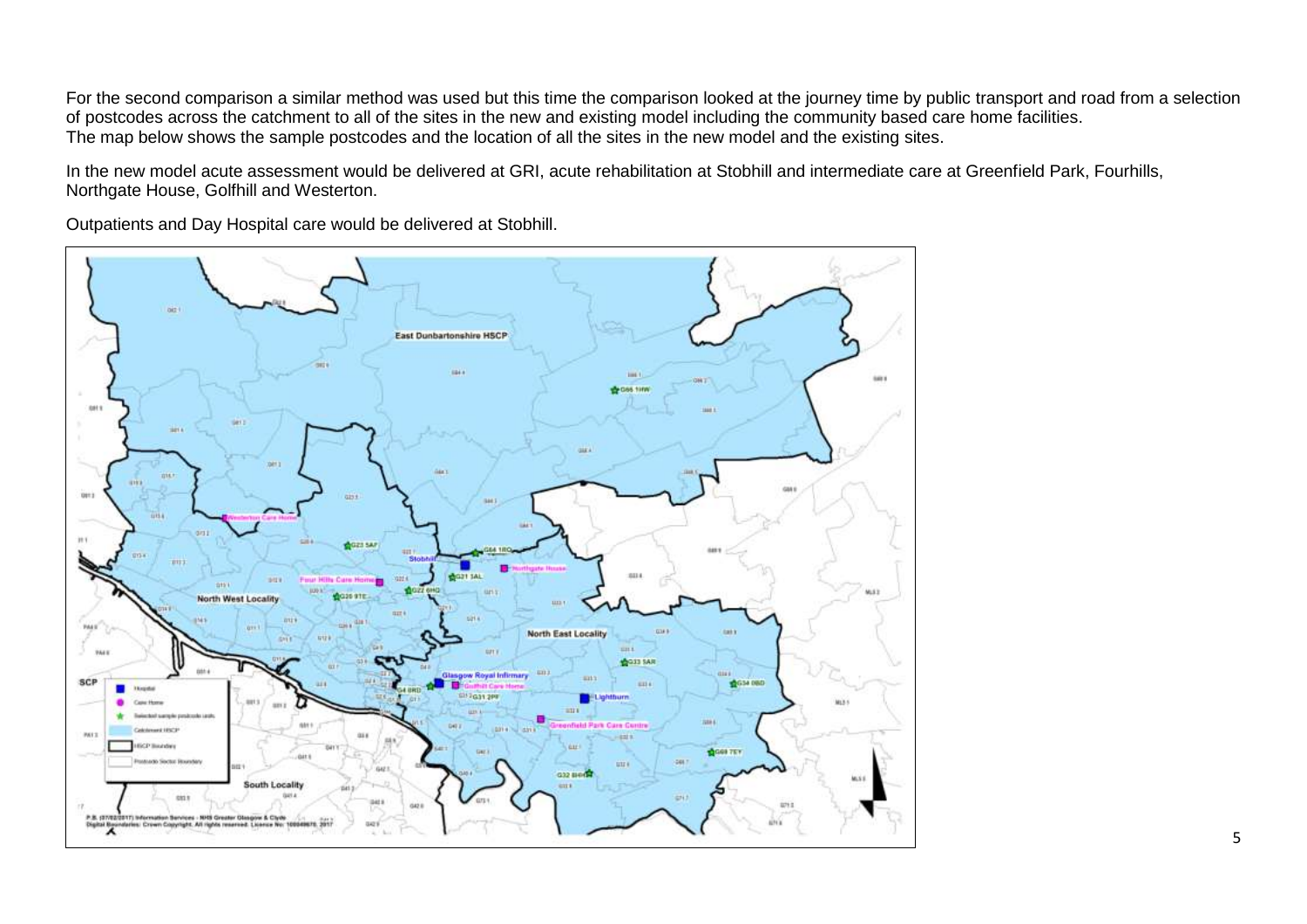For the second comparison a similar method was used but this time the comparison looked at the journey time by public transport and road from a selection of postcodes across the catchment to all of the sites in the new and existing model including the community based care home facilities. The map below shows the sample postcodes and the location of all the sites in the new model and the existing sites.

In the new model acute assessment would be delivered at GRI, acute rehabilitation at Stobhill and intermediate care at Greenfield Park, Fourhills, Northgate House, Golfhill and Westerton.

Outpatients and Day Hospital care would be delivered at Stobhill.